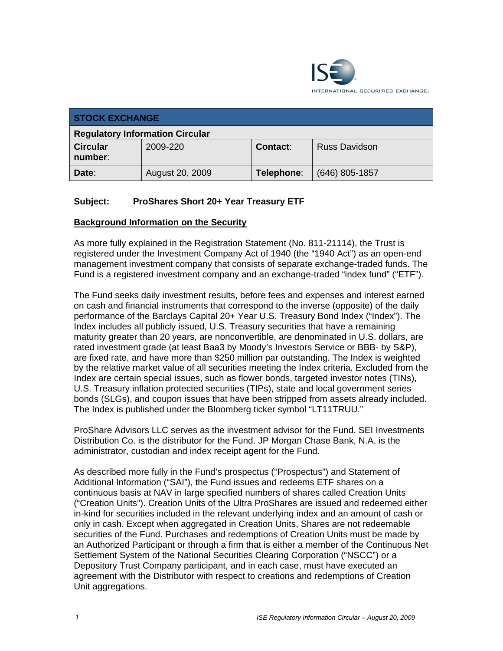

| <b>STOCK EXCHANGE</b>                  |                 |            |                |  |
|----------------------------------------|-----------------|------------|----------------|--|
| <b>Regulatory Information Circular</b> |                 |            |                |  |
| <b>Circular</b><br>number:             | 2009-220        | Contact:   | Russ Davidson  |  |
| Date:                                  | August 20, 2009 | Telephone: | (646) 805-1857 |  |

## **Subject: ProShares Short 20+ Year Treasury ETF**

#### **Background Information on the Security**

As more fully explained in the Registration Statement (No. 811-21114), the Trust is registered under the Investment Company Act of 1940 (the "1940 Act") as an open-end management investment company that consists of separate exchange-traded funds. The Fund is a registered investment company and an exchange-traded "index fund" ("ETF").

The Fund seeks daily investment results, before fees and expenses and interest earned on cash and financial instruments that correspond to the inverse (opposite) of the daily performance of the Barclays Capital 20+ Year U.S. Treasury Bond Index ("Index"). The Index includes all publicly issued, U.S. Treasury securities that have a remaining maturity greater than 20 years, are nonconvertible, are denominated in U.S. dollars, are rated investment grade (at least Baa3 by Moody's Investors Service or BBB- by S&P), are fixed rate, and have more than \$250 million par outstanding. The Index is weighted by the relative market value of all securities meeting the Index criteria. Excluded from the Index are certain special issues, such as flower bonds, targeted investor notes (TINs), U.S. Treasury inflation protected securities (TIPs), state and local government series bonds (SLGs), and coupon issues that have been stripped from assets already included. The Index is published under the Bloomberg ticker symbol "LT11TRUU."

ProShare Advisors LLC serves as the investment advisor for the Fund. SEI Investments Distribution Co. is the distributor for the Fund. JP Morgan Chase Bank, N.A. is the administrator, custodian and index receipt agent for the Fund.

As described more fully in the Fund's prospectus ("Prospectus") and Statement of Additional Information ("SAI"), the Fund issues and redeems ETF shares on a continuous basis at NAV in large specified numbers of shares called Creation Units ("Creation Units"). Creation Units of the Ultra ProShares are issued and redeemed either in-kind for securities included in the relevant underlying index and an amount of cash or only in cash. Except when aggregated in Creation Units, Shares are not redeemable securities of the Fund. Purchases and redemptions of Creation Units must be made by an Authorized Participant or through a firm that is either a member of the Continuous Net Settlement System of the National Securities Clearing Corporation ("NSCC") or a Depository Trust Company participant, and in each case, must have executed an agreement with the Distributor with respect to creations and redemptions of Creation Unit aggregations.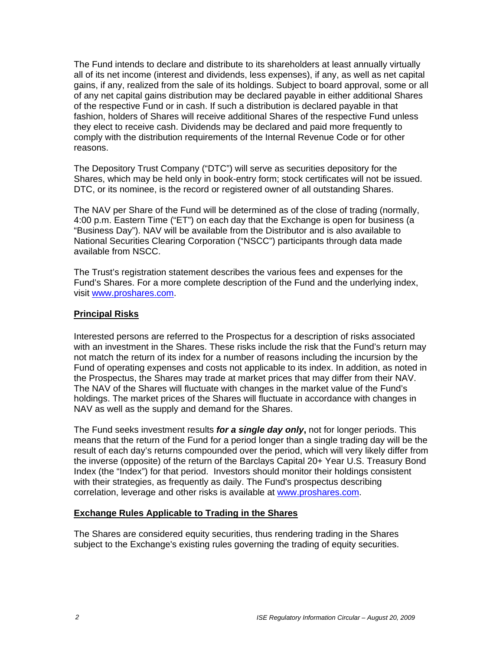The Fund intends to declare and distribute to its shareholders at least annually virtually all of its net income (interest and dividends, less expenses), if any, as well as net capital gains, if any, realized from the sale of its holdings. Subject to board approval, some or all of any net capital gains distribution may be declared payable in either additional Shares of the respective Fund or in cash. If such a distribution is declared payable in that fashion, holders of Shares will receive additional Shares of the respective Fund unless they elect to receive cash. Dividends may be declared and paid more frequently to comply with the distribution requirements of the Internal Revenue Code or for other reasons.

The Depository Trust Company ("DTC") will serve as securities depository for the Shares, which may be held only in book-entry form; stock certificates will not be issued. DTC, or its nominee, is the record or registered owner of all outstanding Shares.

The NAV per Share of the Fund will be determined as of the close of trading (normally, 4:00 p.m. Eastern Time ("ET") on each day that the Exchange is open for business (a "Business Day"). NAV will be available from the Distributor and is also available to National Securities Clearing Corporation ("NSCC") participants through data made available from NSCC.

The Trust's registration statement describes the various fees and expenses for the Fund's Shares. For a more complete description of the Fund and the underlying index, visit www.proshares.com.

## **Principal Risks**

Interested persons are referred to the Prospectus for a description of risks associated with an investment in the Shares. These risks include the risk that the Fund's return may not match the return of its index for a number of reasons including the incursion by the Fund of operating expenses and costs not applicable to its index. In addition, as noted in the Prospectus, the Shares may trade at market prices that may differ from their NAV. The NAV of the Shares will fluctuate with changes in the market value of the Fund's holdings. The market prices of the Shares will fluctuate in accordance with changes in NAV as well as the supply and demand for the Shares.

The Fund seeks investment results *for a single day only***,** not for longer periods. This means that the return of the Fund for a period longer than a single trading day will be the result of each day's returns compounded over the period, which will very likely differ from the inverse (opposite) of the return of the Barclays Capital 20+ Year U.S. Treasury Bond Index (the "Index") for that period. Investors should monitor their holdings consistent with their strategies, as frequently as daily. The Fund's prospectus describing correlation, leverage and other risks is available at www.proshares.com.

## **Exchange Rules Applicable to Trading in the Shares**

The Shares are considered equity securities, thus rendering trading in the Shares subject to the Exchange's existing rules governing the trading of equity securities.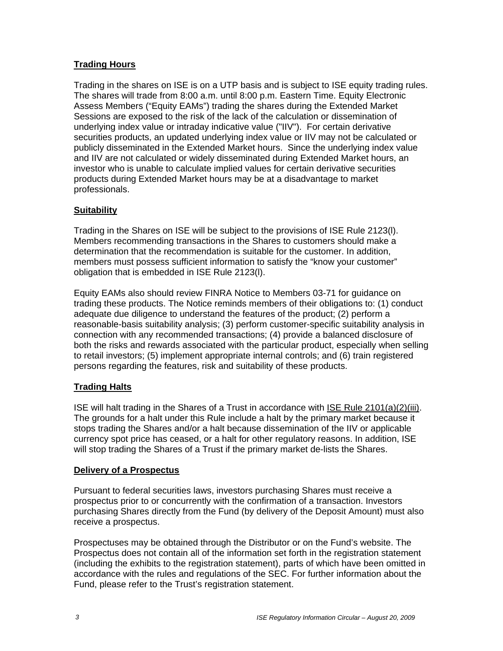# **Trading Hours**

Trading in the shares on ISE is on a UTP basis and is subject to ISE equity trading rules. The shares will trade from 8:00 a.m. until 8:00 p.m. Eastern Time. Equity Electronic Assess Members ("Equity EAMs") trading the shares during the Extended Market Sessions are exposed to the risk of the lack of the calculation or dissemination of underlying index value or intraday indicative value ("IIV"). For certain derivative securities products, an updated underlying index value or IIV may not be calculated or publicly disseminated in the Extended Market hours. Since the underlying index value and IIV are not calculated or widely disseminated during Extended Market hours, an investor who is unable to calculate implied values for certain derivative securities products during Extended Market hours may be at a disadvantage to market professionals.

## **Suitability**

Trading in the Shares on ISE will be subject to the provisions of ISE Rule 2123(l). Members recommending transactions in the Shares to customers should make a determination that the recommendation is suitable for the customer. In addition, members must possess sufficient information to satisfy the "know your customer" obligation that is embedded in ISE Rule 2123(l).

Equity EAMs also should review FINRA Notice to Members 03-71 for guidance on trading these products. The Notice reminds members of their obligations to: (1) conduct adequate due diligence to understand the features of the product; (2) perform a reasonable-basis suitability analysis; (3) perform customer-specific suitability analysis in connection with any recommended transactions; (4) provide a balanced disclosure of both the risks and rewards associated with the particular product, especially when selling to retail investors; (5) implement appropriate internal controls; and (6) train registered persons regarding the features, risk and suitability of these products.

## **Trading Halts**

ISE will halt trading in the Shares of a Trust in accordance with ISE Rule 2101(a)(2)(iii). The grounds for a halt under this Rule include a halt by the primary market because it stops trading the Shares and/or a halt because dissemination of the IIV or applicable currency spot price has ceased, or a halt for other regulatory reasons. In addition, ISE will stop trading the Shares of a Trust if the primary market de-lists the Shares.

#### **Delivery of a Prospectus**

Pursuant to federal securities laws, investors purchasing Shares must receive a prospectus prior to or concurrently with the confirmation of a transaction. Investors purchasing Shares directly from the Fund (by delivery of the Deposit Amount) must also receive a prospectus.

Prospectuses may be obtained through the Distributor or on the Fund's website. The Prospectus does not contain all of the information set forth in the registration statement (including the exhibits to the registration statement), parts of which have been omitted in accordance with the rules and regulations of the SEC. For further information about the Fund, please refer to the Trust's registration statement.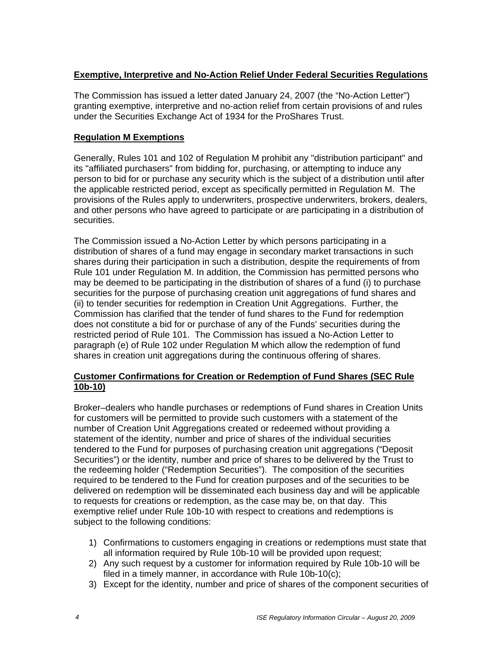## **Exemptive, Interpretive and No-Action Relief Under Federal Securities Regulations**

The Commission has issued a letter dated January 24, 2007 (the "No-Action Letter") granting exemptive, interpretive and no-action relief from certain provisions of and rules under the Securities Exchange Act of 1934 for the ProShares Trust.

## **Regulation M Exemptions**

Generally, Rules 101 and 102 of Regulation M prohibit any "distribution participant" and its "affiliated purchasers" from bidding for, purchasing, or attempting to induce any person to bid for or purchase any security which is the subject of a distribution until after the applicable restricted period, except as specifically permitted in Regulation M. The provisions of the Rules apply to underwriters, prospective underwriters, brokers, dealers, and other persons who have agreed to participate or are participating in a distribution of securities.

The Commission issued a No-Action Letter by which persons participating in a distribution of shares of a fund may engage in secondary market transactions in such shares during their participation in such a distribution, despite the requirements of from Rule 101 under Regulation M. In addition, the Commission has permitted persons who may be deemed to be participating in the distribution of shares of a fund (i) to purchase securities for the purpose of purchasing creation unit aggregations of fund shares and (ii) to tender securities for redemption in Creation Unit Aggregations. Further, the Commission has clarified that the tender of fund shares to the Fund for redemption does not constitute a bid for or purchase of any of the Funds' securities during the restricted period of Rule 101. The Commission has issued a No-Action Letter to paragraph (e) of Rule 102 under Regulation M which allow the redemption of fund shares in creation unit aggregations during the continuous offering of shares.

## **Customer Confirmations for Creation or Redemption of Fund Shares (SEC Rule 10b-10)**

Broker–dealers who handle purchases or redemptions of Fund shares in Creation Units for customers will be permitted to provide such customers with a statement of the number of Creation Unit Aggregations created or redeemed without providing a statement of the identity, number and price of shares of the individual securities tendered to the Fund for purposes of purchasing creation unit aggregations ("Deposit Securities") or the identity, number and price of shares to be delivered by the Trust to the redeeming holder ("Redemption Securities"). The composition of the securities required to be tendered to the Fund for creation purposes and of the securities to be delivered on redemption will be disseminated each business day and will be applicable to requests for creations or redemption, as the case may be, on that day. This exemptive relief under Rule 10b-10 with respect to creations and redemptions is subject to the following conditions:

- 1) Confirmations to customers engaging in creations or redemptions must state that all information required by Rule 10b-10 will be provided upon request;
- 2) Any such request by a customer for information required by Rule 10b-10 will be filed in a timely manner, in accordance with Rule 10b-10(c);
- 3) Except for the identity, number and price of shares of the component securities of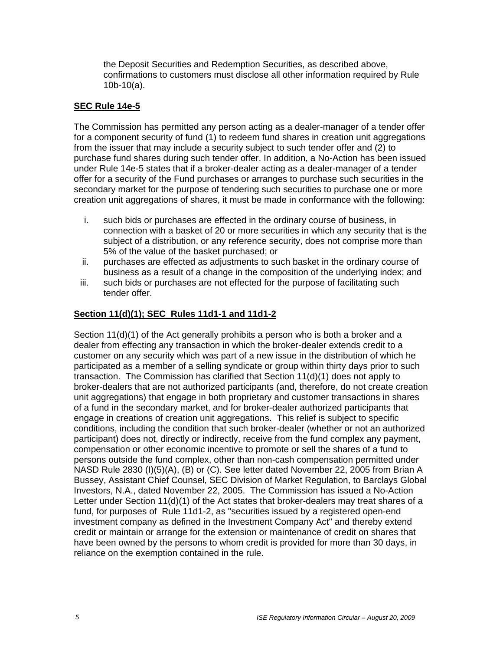the Deposit Securities and Redemption Securities, as described above, confirmations to customers must disclose all other information required by Rule 10b-10(a).

# **SEC Rule 14e-5**

The Commission has permitted any person acting as a dealer-manager of a tender offer for a component security of fund (1) to redeem fund shares in creation unit aggregations from the issuer that may include a security subject to such tender offer and (2) to purchase fund shares during such tender offer. In addition, a No-Action has been issued under Rule 14e-5 states that if a broker-dealer acting as a dealer-manager of a tender offer for a security of the Fund purchases or arranges to purchase such securities in the secondary market for the purpose of tendering such securities to purchase one or more creation unit aggregations of shares, it must be made in conformance with the following:

- i. such bids or purchases are effected in the ordinary course of business, in connection with a basket of 20 or more securities in which any security that is the subject of a distribution, or any reference security, does not comprise more than 5% of the value of the basket purchased; or
- ii. purchases are effected as adjustments to such basket in the ordinary course of business as a result of a change in the composition of the underlying index; and
- iii. such bids or purchases are not effected for the purpose of facilitating such tender offer.

# **Section 11(d)(1); SEC Rules 11d1-1 and 11d1-2**

Section 11(d)(1) of the Act generally prohibits a person who is both a broker and a dealer from effecting any transaction in which the broker-dealer extends credit to a customer on any security which was part of a new issue in the distribution of which he participated as a member of a selling syndicate or group within thirty days prior to such transaction. The Commission has clarified that Section 11(d)(1) does not apply to broker-dealers that are not authorized participants (and, therefore, do not create creation unit aggregations) that engage in both proprietary and customer transactions in shares of a fund in the secondary market, and for broker-dealer authorized participants that engage in creations of creation unit aggregations. This relief is subject to specific conditions, including the condition that such broker-dealer (whether or not an authorized participant) does not, directly or indirectly, receive from the fund complex any payment, compensation or other economic incentive to promote or sell the shares of a fund to persons outside the fund complex, other than non-cash compensation permitted under NASD Rule 2830 (I)(5)(A), (B) or (C). See letter dated November 22, 2005 from Brian A Bussey, Assistant Chief Counsel, SEC Division of Market Regulation, to Barclays Global Investors, N.A., dated November 22, 2005. The Commission has issued a No-Action Letter under Section 11(d)(1) of the Act states that broker-dealers may treat shares of a fund, for purposes of Rule 11d1-2, as "securities issued by a registered open-end investment company as defined in the Investment Company Act" and thereby extend credit or maintain or arrange for the extension or maintenance of credit on shares that have been owned by the persons to whom credit is provided for more than 30 days, in reliance on the exemption contained in the rule.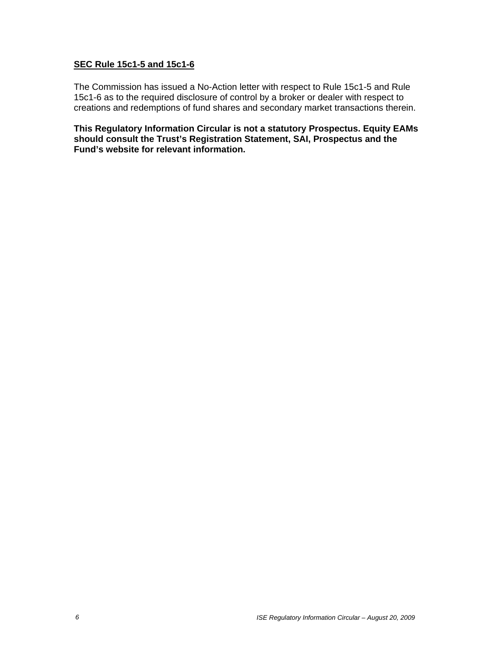#### **SEC Rule 15c1-5 and 15c1-6**

The Commission has issued a No-Action letter with respect to Rule 15c1-5 and Rule 15c1-6 as to the required disclosure of control by a broker or dealer with respect to creations and redemptions of fund shares and secondary market transactions therein.

**This Regulatory Information Circular is not a statutory Prospectus. Equity EAMs should consult the Trust's Registration Statement, SAI, Prospectus and the Fund's website for relevant information.**